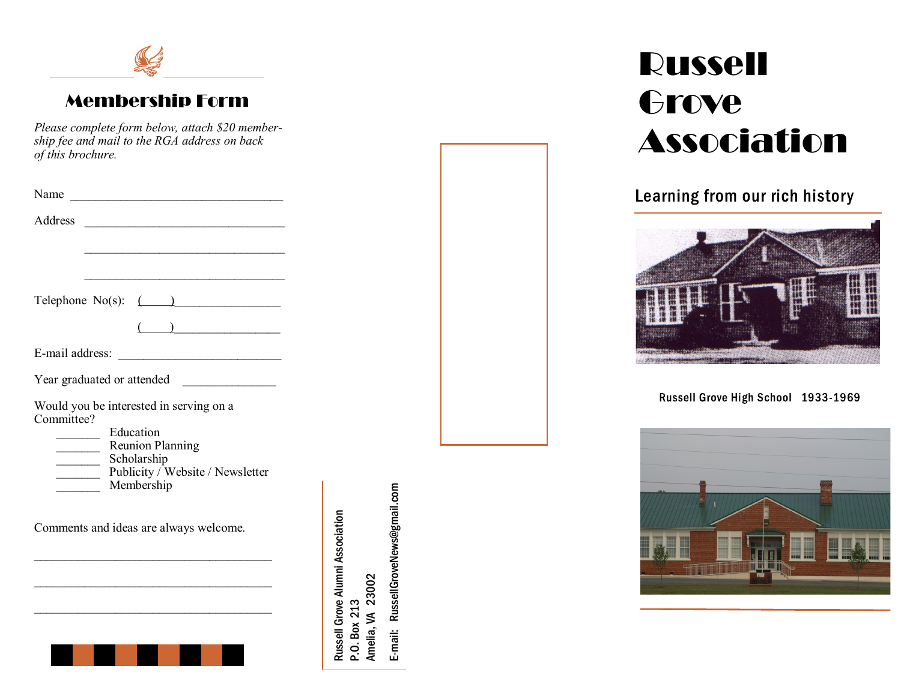

#### Membership Form

*Please complete form below, attach \$20 membership fee and mail to the RGA address on back of this brochure.*

| Name<br>Address<br><u> 1989 - Johann Barbara, martin amerikan basar dan berasal dalam basar dalam basar dalam basar dalam basar dala</u>                |                                  |
|---------------------------------------------------------------------------------------------------------------------------------------------------------|----------------------------------|
| Telephone $No(s)$ : $(\_\_\_\_\_\_\_\_\_\_\_\_$                                                                                                         |                                  |
| E-mail address:                                                                                                                                         |                                  |
| Year graduated or attended                                                                                                                              |                                  |
| Would you be interested in serving on a<br>Committee?<br>Education<br>Reunion Planning<br>Scholarship<br>Publicity / Website / Newsletter<br>Membership |                                  |
| Comments and ideas are always welcome.                                                                                                                  | Russell Grove Alumni Association |
|                                                                                                                                                         |                                  |

E-mail: RussellGroveNews@gmail.com E-mail: RussellGroveNews@gmail.com P.O. Box 213<br>Amelia, VA 23002 Amelia, VA 23002

# Russell **Grove** Association

#### Learning from our rich history



Russell Grove High School 1933-1969